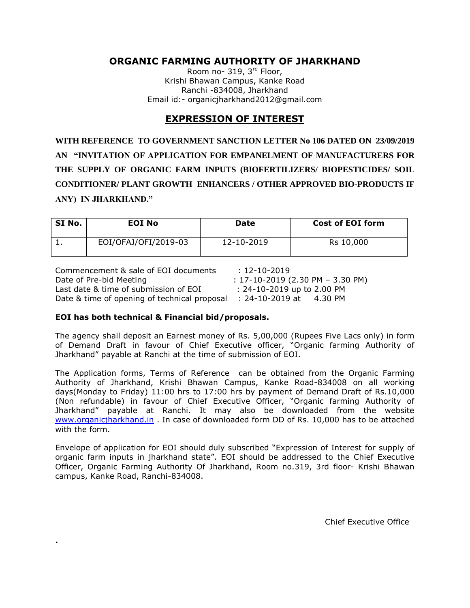## **ORGANIC FARMING AUTHORITY OF JHARKHAND**

Room no- 319, 3<sup>rd</sup> Floor, Krishi Bhawan Campus, Kanke Road Ranchi -834008, Jharkhand Email id:- organicjharkhand2012@gmail.com

## **EXPRESSION OF INTEREST**

**WITH REFERENCE TO GOVERNMENT SANCTION LETTER No 106 DATED ON 23/09/2019 AN "INVITATION OF APPLICATION FOR EMPANELMENT OF MANUFACTURERS FOR THE SUPPLY OF ORGANIC FARM INPUTS (BIOFERTILIZERS/ BIOPESTICIDES/ SOIL CONDITIONER/ PLANT GROWTH ENHANCERS / OTHER APPROVED BIO-PRODUCTS IF ANY) IN JHARKHAND."**

| SI No. | EOI No               | Date       | <b>Cost of EOI form</b> |
|--------|----------------------|------------|-------------------------|
|        | EOI/OFAJ/OFI/2019-03 | 12-10-2019 | Rs 10,000               |

| Commencement & sale of EOI documents         | $: 12 - 10 - 2019$                     |
|----------------------------------------------|----------------------------------------|
| Date of Pre-bid Meeting                      | $: 17 - 10 - 2019$ (2.30 PM - 3.30 PM) |
| Last date & time of submission of EOI        | $: 24 - 10 - 2019$ up to 2.00 PM       |
| Date & time of opening of technical proposal | :24-10-2019 at<br>4.30 PM              |

#### **EOI has both technical & Financial bid/proposals.**

**.**

The agency shall deposit an Earnest money of Rs. 5,00,000 (Rupees Five Lacs only) in form of Demand Draft in favour of Chief Executive officer, "Organic farming Authority of Jharkhand" payable at Ranchi at the time of submission of EOI.

The Application forms, Terms of Reference can be obtained from the Organic Farming Authority of Jharkhand, Krishi Bhawan Campus, Kanke Road-834008 on all working days(Monday to Friday) 11:00 hrs to 17:00 hrs by payment of Demand Draft of Rs.10,000 (Non refundable) in favour of Chief Executive Officer, "Organic farming Authority of Jharkhand" payable at Ranchi. It may also be downloaded from the website [www.organicjharkhand.in](http://www.organicjharkhand.in/) . In case of downloaded form DD of Rs. 10,000 has to be attached with the form.

Envelope of application for EOI should duly subscribed "Expression of Interest for supply of organic farm inputs in jharkhand state". EOI should be addressed to the Chief Executive Officer, Organic Farming Authority Of Jharkhand, Room no.319, 3rd floor- Krishi Bhawan campus, Kanke Road, Ranchi-834008.

Chief Executive Office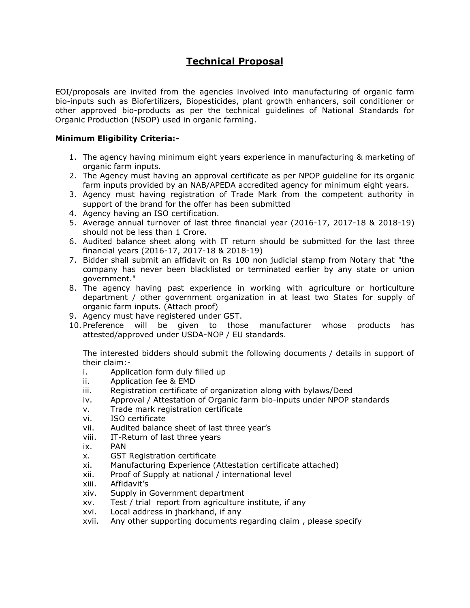# **Technical Proposal**

EOI/proposals are invited from the agencies involved into manufacturing of organic farm bio-inputs such as Biofertilizers, Biopesticides, plant growth enhancers, soil conditioner or other approved bio-products as per the technical guidelines of National Standards for Organic Production (NSOP) used in organic farming.

### **Minimum Eligibility Criteria:-**

- 1. The agency having minimum eight years experience in manufacturing & marketing of organic farm inputs.
- 2. The Agency must having an approval certificate as per NPOP guideline for its organic farm inputs provided by an NAB/APEDA accredited agency for minimum eight years.
- 3. Agency must having registration of Trade Mark from the competent authority in support of the brand for the offer has been submitted
- 4. Agency having an ISO certification.
- 5. Average annual turnover of last three financial year (2016-17, 2017-18 & 2018-19) should not be less than 1 Crore.
- 6. Audited balance sheet along with IT return should be submitted for the last three financial years (2016-17, 2017-18 & 2018-19)
- 7. Bidder shall submit an affidavit on Rs 100 non judicial stamp from Notary that "the company has never been blacklisted or terminated earlier by any state or union government."
- 8. The agency having past experience in working with agriculture or horticulture department / other government organization in at least two States for supply of organic farm inputs. (Attach proof)
- 9. Agency must have registered under GST.
- 10. Preference will be given to those manufacturer whose products has attested/approved under USDA-NOP / EU standards.

The interested bidders should submit the following documents / details in support of their claim:-

- i. Application form duly filled up
- ii. Application fee & EMD
- iii. Registration certificate of organization along with bylaws/Deed
- iv. Approval / Attestation of Organic farm bio-inputs under NPOP standards
- v. Trade mark registration certificate
- vi. ISO certificate
- vii. Audited balance sheet of last three year's
- viii. IT-Return of last three years
- ix. PAN
- x. GST Registration certificate
- xi. Manufacturing Experience (Attestation certificate attached)
- xii. Proof of Supply at national / international level
- xiii. Affidavit's
- xiv. Supply in Government department
- xv. Test / trial report from agriculture institute, if any
- xvi. Local address in jharkhand, if any
- xvii. Any other supporting documents regarding claim , please specify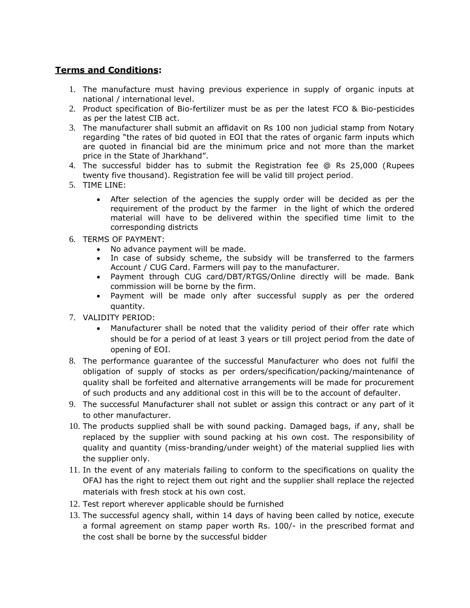## **Terms and Conditions:**

- 1. The manufacture must having previous experience in supply of organic inputs at national / international level.
- 2. Product specification of Bio-fertilizer must be as per the latest FCO & Bio-pesticides as per the latest CIB act.
- 3. The manufacturer shall submit an affidavit on Rs 100 non judicial stamp from Notary regarding "the rates of bid quoted in EOI that the rates of organic farm inputs which are quoted in financial bid are the minimum price and not more than the market price in the State of Jharkhand".
- 4. The successful bidder has to submit the Registration fee @ Rs 25,000 (Rupees twenty five thousand). Registration fee will be valid till project period.
- 5. TIME LINE:
	- After selection of the agencies the supply order will be decided as per the requirement of the product by the farmer in the light of which the ordered material will have to be delivered within the specified time limit to the corresponding districts
- 6. TERMS OF PAYMENT:
	- No advance payment will be made.
	- In case of subsidy scheme, the subsidy will be transferred to the farmers Account / CUG Card. Farmers will pay to the manufacturer.
	- Payment through CUG card/DBT/RTGS/Online directly will be made. Bank commission will be borne by the firm.
	- Payment will be made only after successful supply as per the ordered quantity.
- 7. VALIDITY PERIOD:
	- Manufacturer shall be noted that the validity period of their offer rate which should be for a period of at least 3 years or till project period from the date of opening of EOI.
- 8. The performance guarantee of the successful Manufacturer who does not fulfil the obligation of supply of stocks as per orders/specification/packing/maintenance of quality shall be forfeited and alternative arrangements will be made for procurement of such products and any additional cost in this will be to the account of defaulter.
- 9. The successful Manufacturer shall not sublet or assign this contract or any part of it to other manufacturer.
- 10. The products supplied shall be with sound packing. Damaged bags, if any, shall be replaced by the supplier with sound packing at his own cost. The responsibility of quality and quantity (miss-branding/under weight) of the material supplied lies with the supplier only.
- 11. In the event of any materials failing to conform to the specifications on quality the OFAJ has the right to reject them out right and the supplier shall replace the rejected materials with fresh stock at his own cost.
- 12. Test report wherever applicable should be furnished
- 13. The successful agency shall, within 14 days of having been called by notice, execute a formal agreement on stamp paper worth Rs. 100/- in the prescribed format and the cost shall be borne by the successful bidder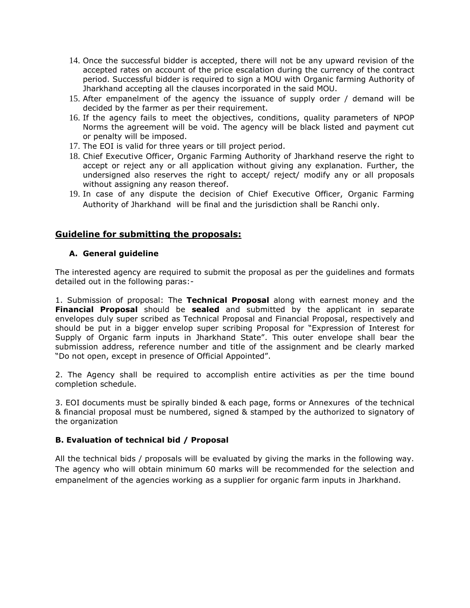- 14. Once the successful bidder is accepted, there will not be any upward revision of the accepted rates on account of the price escalation during the currency of the contract period. Successful bidder is required to sign a MOU with Organic farming Authority of Jharkhand accepting all the clauses incorporated in the said MOU.
- 15. After empanelment of the agency the issuance of supply order / demand will be decided by the farmer as per their requirement.
- 16. If the agency fails to meet the objectives, conditions, quality parameters of NPOP Norms the agreement will be void. The agency will be black listed and payment cut or penalty will be imposed.
- 17. The EOI is valid for three years or till project period.
- 18. Chief Executive Officer, Organic Farming Authority of Jharkhand reserve the right to accept or reject any or all application without giving any explanation. Further, the undersigned also reserves the right to accept/ reject/ modify any or all proposals without assigning any reason thereof.
- 19. In case of any dispute the decision of Chief Executive Officer, Organic Farming Authority of Jharkhand will be final and the jurisdiction shall be Ranchi only.

## **Guideline for submitting the proposals:**

#### **A. General guideline**

The interested agency are required to submit the proposal as per the guidelines and formats detailed out in the following paras:-

1. Submission of proposal: The **Technical Proposal** along with earnest money and the **Financial Proposal** should be **sealed** and submitted by the applicant in separate envelopes duly super scribed as Technical Proposal and Financial Proposal, respectively and should be put in a bigger envelop super scribing Proposal for "Expression of Interest for Supply of Organic farm inputs in Jharkhand State". This outer envelope shall bear the submission address, reference number and title of the assignment and be clearly marked "Do not open, except in presence of Official Appointed".

2. The Agency shall be required to accomplish entire activities as per the time bound completion schedule.

3. EOI documents must be spirally binded & each page, forms or Annexures of the technical & financial proposal must be numbered, signed & stamped by the authorized to signatory of the organization

#### **B. Evaluation of technical bid / Proposal**

All the technical bids / proposals will be evaluated by giving the marks in the following way. The agency who will obtain minimum 60 marks will be recommended for the selection and empanelment of the agencies working as a supplier for organic farm inputs in Jharkhand.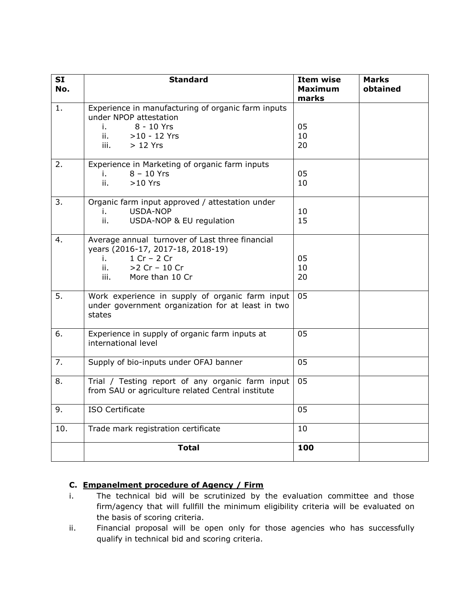| <b>SI</b><br>No. | <b>Standard</b>                                                                                                                                                  | <b>Item wise</b><br><b>Maximum</b><br>marks | <b>Marks</b><br>obtained |
|------------------|------------------------------------------------------------------------------------------------------------------------------------------------------------------|---------------------------------------------|--------------------------|
| 1.               | Experience in manufacturing of organic farm inputs<br>under NPOP attestation<br>8 - 10 Yrs<br>i.<br>ii. A<br>$>10 - 12$ Yrs<br>iii.<br>$>12$ Yrs                 | 05<br>10<br>20                              |                          |
| 2.               | Experience in Marketing of organic farm inputs<br>$8 - 10$ Yrs<br>i.<br>ii.<br>$>10$ Yrs                                                                         | 05<br>10                                    |                          |
| 3.               | Organic farm input approved / attestation under<br>USDA-NOP<br>i.<br>ii.<br>USDA-NOP & EU regulation                                                             | 10<br>15                                    |                          |
| 4.               | Average annual turnover of Last three financial<br>years (2016-17, 2017-18, 2018-19)<br>$1 Cr - 2 Cr$<br>i.<br>$>2$ Cr - 10 Cr<br>ii.<br>More than 10 Cr<br>iii. | 05<br>10<br>20                              |                          |
| 5.               | Work experience in supply of organic farm input<br>under government organization for at least in two<br>states                                                   | 05                                          |                          |
| 6.               | Experience in supply of organic farm inputs at<br>international level                                                                                            | 05                                          |                          |
| 7.               | Supply of bio-inputs under OFAJ banner                                                                                                                           | 05                                          |                          |
| 8.               | Trial / Testing report of any organic farm input<br>from SAU or agriculture related Central institute                                                            | 05                                          |                          |
| 9.               | <b>ISO Certificate</b>                                                                                                                                           | 05                                          |                          |
| 10.              | Trade mark registration certificate                                                                                                                              | 10                                          |                          |
|                  | <b>Total</b>                                                                                                                                                     | 100                                         |                          |

## **C. Empanelment procedure of Agency / Firm**

- i. The technical bid will be scrutinized by the evaluation committee and those firm/agency that will fullfill the minimum eligibility criteria will be evaluated on the basis of scoring criteria.
- ii. Financial proposal will be open only for those agencies who has successfully qualify in technical bid and scoring criteria.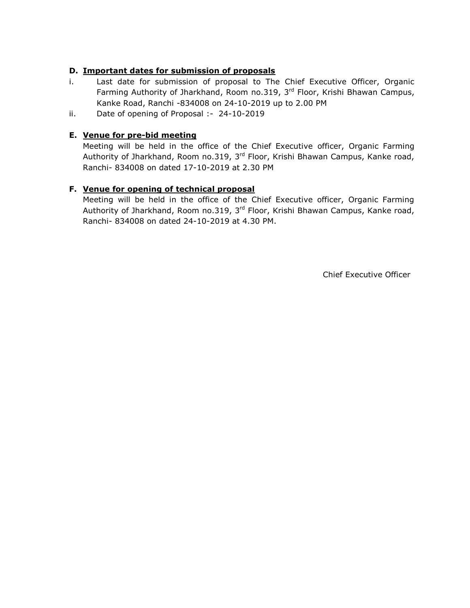### **D. Important dates for submission of proposals**

- i. Last date for submission of proposal to The Chief Executive Officer, Organic Farming Authority of Jharkhand, Room no.319, 3<sup>rd</sup> Floor, Krishi Bhawan Campus, Kanke Road, Ranchi -834008 on 24-10-2019 up to 2.00 PM
- ii. Date of opening of Proposal :- 24-10-2019

## **E. Venue for pre-bid meeting**

Meeting will be held in the office of the Chief Executive officer, Organic Farming Authority of Jharkhand, Room no.319, 3<sup>rd</sup> Floor, Krishi Bhawan Campus, Kanke road, Ranchi- 834008 on dated 17-10-2019 at 2.30 PM

## **F. Venue for opening of technical proposal**

Meeting will be held in the office of the Chief Executive officer, Organic Farming Authority of Jharkhand, Room no.319, 3<sup>rd</sup> Floor, Krishi Bhawan Campus, Kanke road, Ranchi- 834008 on dated 24-10-2019 at 4.30 PM.

Chief Executive Officer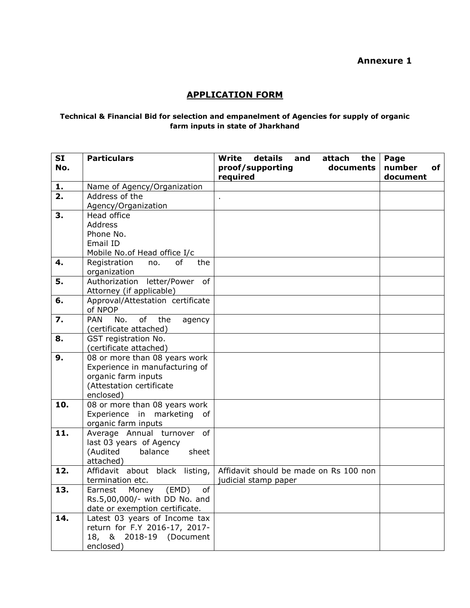## **Annexure 1**

# **APPLICATION FORM**

#### **Technical & Financial Bid for selection and empanelment of Agencies for supply of organic farm inputs in state of Jharkhand**

| <b>SI</b> | <b>Particulars</b>                                             | details<br><b>Write</b><br>attach<br>the<br>and | Page         |
|-----------|----------------------------------------------------------------|-------------------------------------------------|--------------|
| No.       |                                                                | proof/supporting<br>documents                   | number<br>of |
|           |                                                                | required                                        | document     |
| 1.        | Name of Agency/Organization                                    |                                                 |              |
| 2.        | Address of the                                                 | ä,                                              |              |
|           | Agency/Organization                                            |                                                 |              |
| 3.        | Head office                                                    |                                                 |              |
|           | <b>Address</b>                                                 |                                                 |              |
|           | Phone No.                                                      |                                                 |              |
|           | Email ID                                                       |                                                 |              |
|           | Mobile No.of Head office I/c                                   |                                                 |              |
| 4.        | Registration<br>of<br>the<br>no.                               |                                                 |              |
|           | organization                                                   |                                                 |              |
| 5.        | Authorization<br>letter/Power of                               |                                                 |              |
|           | Attorney (if applicable)                                       |                                                 |              |
| 6.        | Approval/Attestation certificate                               |                                                 |              |
|           | of NPOP                                                        |                                                 |              |
| 7.        | of<br><b>PAN</b><br>No.<br>the<br>agency                       |                                                 |              |
|           | (certificate attached)                                         |                                                 |              |
| 8.        | GST registration No.                                           |                                                 |              |
|           | (certificate attached)                                         |                                                 |              |
| 9.        | 08 or more than 08 years work                                  |                                                 |              |
|           | Experience in manufacturing of                                 |                                                 |              |
|           | organic farm inputs                                            |                                                 |              |
|           | (Attestation certificate                                       |                                                 |              |
|           | enclosed)                                                      |                                                 |              |
| 10.       | 08 or more than 08 years work<br>Experience in marketing<br>of |                                                 |              |
|           | organic farm inputs                                            |                                                 |              |
| 11.       | Average Annual turnover of                                     |                                                 |              |
|           | last 03 years of Agency                                        |                                                 |              |
|           | (Audited<br>balance<br>sheet                                   |                                                 |              |
|           | attached)                                                      |                                                 |              |
| 12.       | Affidavit about black listing,                                 | Affidavit should be made on Rs 100 non          |              |
|           | termination etc.                                               | judicial stamp paper                            |              |
| 13.       | Earnest<br>Money<br>(EMD)<br>of                                |                                                 |              |
|           | Rs.5,00,000/- with DD No. and                                  |                                                 |              |
|           | date or exemption certificate.                                 |                                                 |              |
| 14.       | Latest 03 years of Income tax                                  |                                                 |              |
|           | return for F.Y 2016-17, 2017-                                  |                                                 |              |
|           | 18,<br>& 2018-19 (Document                                     |                                                 |              |
|           | enclosed)                                                      |                                                 |              |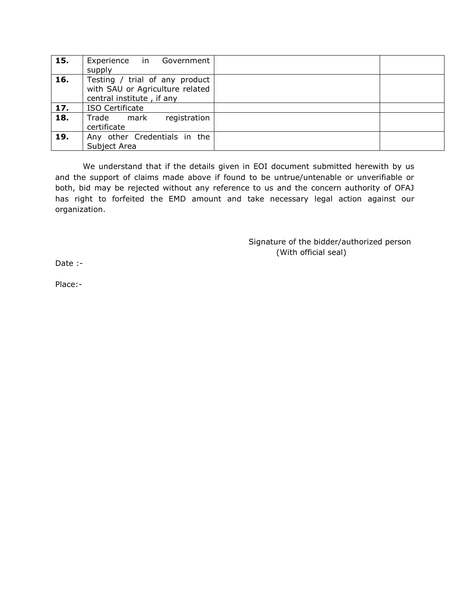| 15. | Experience in Government        |  |
|-----|---------------------------------|--|
|     | supply                          |  |
| 16. | Testing / trial of any product  |  |
|     | with SAU or Agriculture related |  |
|     | central institute, if any       |  |
| 17. | <b>ISO Certificate</b>          |  |
| 18. | registration<br>Trade mark      |  |
|     | certificate                     |  |
| 19. | Any other Credentials in the    |  |
|     | Subject Area                    |  |

We understand that if the details given in EOI document submitted herewith by us and the support of claims made above if found to be untrue/untenable or unverifiable or both, bid may be rejected without any reference to us and the concern authority of OFAJ has right to forfeited the EMD amount and take necessary legal action against our organization.

> Signature of the bidder/authorized person (With official seal)

Date :-

Place:-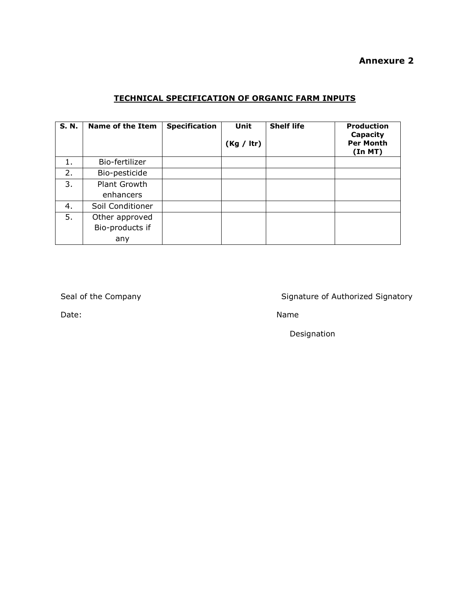## **Annexure 2**

# **TECHNICAL SPECIFICATION OF ORGANIC FARM INPUTS**

| <b>S.N.</b> | <b>Name of the Item</b> | <b>Specification</b> | Unit<br>(Kg / Itr) | <b>Shelf life</b> | <b>Production</b><br>Capacity<br><b>Per Month</b><br>(In MT) |
|-------------|-------------------------|----------------------|--------------------|-------------------|--------------------------------------------------------------|
|             | Bio-fertilizer          |                      |                    |                   |                                                              |
| 2.          | Bio-pesticide           |                      |                    |                   |                                                              |
| 3.          | Plant Growth            |                      |                    |                   |                                                              |
|             | enhancers               |                      |                    |                   |                                                              |
| 4.          | Soil Conditioner        |                      |                    |                   |                                                              |
| 5.          | Other approved          |                      |                    |                   |                                                              |
|             | Bio-products if         |                      |                    |                   |                                                              |
|             | any                     |                      |                    |                   |                                                              |

Seal of the Company Seal of the Company Signature of Authorized Signatory

Date: Name

Designation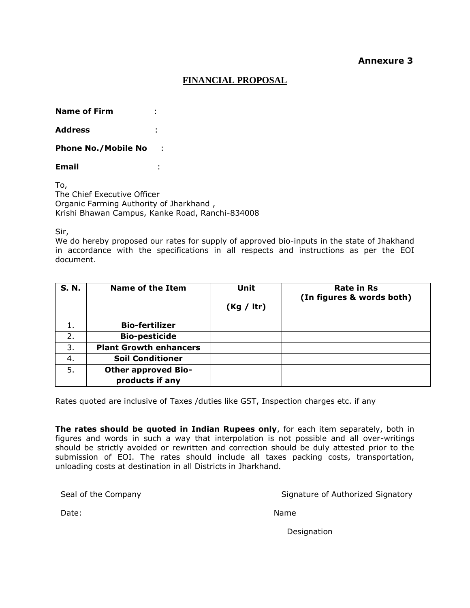### **Annexure 3**

### **FINANCIAL PROPOSAL**

**Name of Firm** :

**Address** :

**Phone No./Mobile No** :

**Email** :

To, The Chief Executive Officer Organic Farming Authority of Jharkhand , Krishi Bhawan Campus, Kanke Road, Ranchi-834008

Sir,

We do hereby proposed our rates for supply of approved bio-inputs in the state of Jhakhand in accordance with the specifications in all respects and instructions as per the EOI document.

| <b>S. N.</b> | <b>Name of the Item</b>       | <b>Unit</b> | <b>Rate in Rs</b><br>(In figures & words both) |
|--------------|-------------------------------|-------------|------------------------------------------------|
|              |                               | (Kg / Itr)  |                                                |
| 1.           | <b>Bio-fertilizer</b>         |             |                                                |
| 2.           | <b>Bio-pesticide</b>          |             |                                                |
| 3.           | <b>Plant Growth enhancers</b> |             |                                                |
| 4.           | <b>Soil Conditioner</b>       |             |                                                |
| 5.           | <b>Other approved Bio-</b>    |             |                                                |
|              | products if any               |             |                                                |

Rates quoted are inclusive of Taxes /duties like GST, Inspection charges etc. if any

**The rates should be quoted in Indian Rupees only**, for each item separately, both in figures and words in such a way that interpolation is not possible and all over-writings should be strictly avoided or rewritten and correction should be duly attested prior to the submission of EOI. The rates should include all taxes packing costs, transportation, unloading costs at destination in all Districts in Jharkhand.

Seal of the Company Signature of Authorized Signatory

Date: Name

Designation